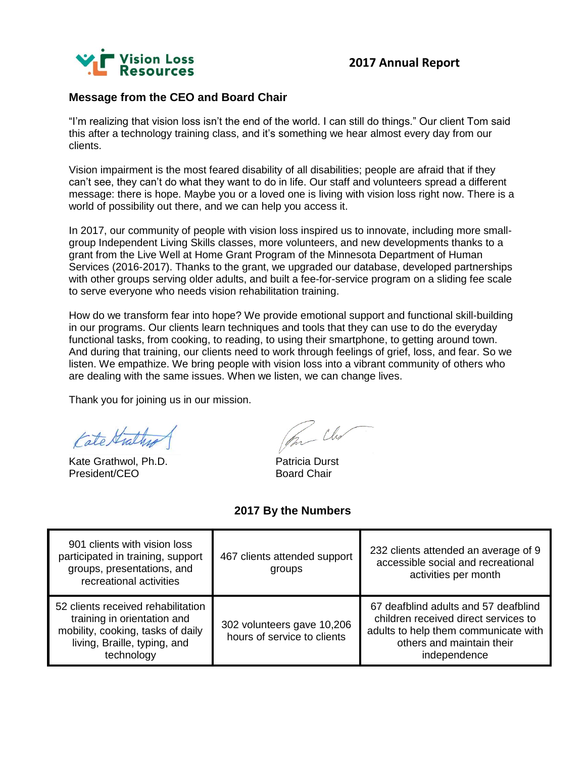

### **Message from the CEO and Board Chair**

"I'm realizing that vision loss isn't the end of the world. I can still do things." Our client Tom said this after a technology training class, and it's something we hear almost every day from our clients.

Vision impairment is the most feared disability of all disabilities; people are afraid that if they can't see, they can't do what they want to do in life. Our staff and volunteers spread a different message: there is hope. Maybe you or a loved one is living with vision loss right now. There is a world of possibility out there, and we can help you access it.

In 2017, our community of people with vision loss inspired us to innovate, including more smallgroup Independent Living Skills classes, more volunteers, and new developments thanks to a grant from the Live Well at Home Grant Program of the Minnesota Department of Human Services (2016-2017). Thanks to the grant, we upgraded our database, developed partnerships with other groups serving older adults, and built a fee-for-service program on a sliding fee scale to serve everyone who needs vision rehabilitation training.

How do we transform fear into hope? We provide emotional support and functional skill-building in our programs. Our clients learn techniques and tools that they can use to do the everyday functional tasks, from cooking, to reading, to using their smartphone, to getting around town. And during that training, our clients need to work through feelings of grief, loss, and fear. So we listen. We empathize. We bring people with vision loss into a vibrant community of others who are dealing with the same issues. When we listen, we can change lives.

Thank you for joining us in our mission.

Cate Strathy

Kate Grathwol, Ph.D. **Patricia Durst** President/CEO Board Chair

Chr

#### **2017 By the Numbers**

| 901 clients with vision loss<br>participated in training, support<br>groups, presentations, and<br>recreational activities                           | 467 clients attended support<br>groups                    | 232 clients attended an average of 9<br>accessible social and recreational<br>activities per month                                                                |
|------------------------------------------------------------------------------------------------------------------------------------------------------|-----------------------------------------------------------|-------------------------------------------------------------------------------------------------------------------------------------------------------------------|
| 52 clients received rehabilitation<br>training in orientation and<br>mobility, cooking, tasks of daily<br>living, Braille, typing, and<br>technology | 302 volunteers gave 10,206<br>hours of service to clients | 67 deafblind adults and 57 deafblind<br>children received direct services to<br>adults to help them communicate with<br>others and maintain their<br>independence |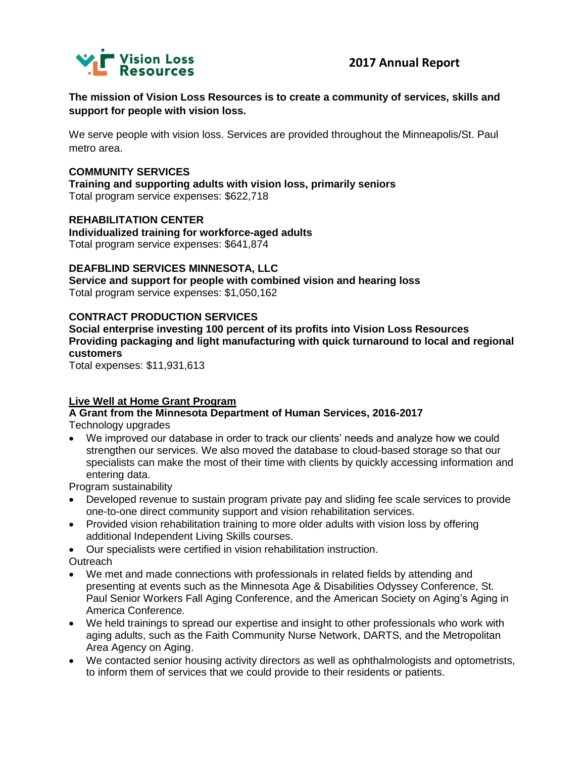

**The mission of Vision Loss Resources is to create a community of services, skills and support for people with vision loss.**

We serve people with vision loss. Services are provided throughout the Minneapolis/St. Paul metro area.

#### **COMMUNITY SERVICES**

**Training and supporting adults with vision loss, primarily seniors** Total program service expenses: \$622,718

**REHABILITATION CENTER Individualized training for workforce-aged adults** Total program service expenses: \$641,874

## **DEAFBLIND SERVICES MINNESOTA, LLC**

**Service and support for people with combined vision and hearing loss** Total program service expenses: \$1,050,162

#### **CONTRACT PRODUCTION SERVICES**

**Social enterprise investing 100 percent of its profits into Vision Loss Resources Providing packaging and light manufacturing with quick turnaround to local and regional customers**

Total expenses: \$11,931,613

#### **Live Well at Home Grant Program**

**A Grant from the Minnesota Department of Human Services, 2016-2017** Technology upgrades

• We improved our database in order to track our clients' needs and analyze how we could strengthen our services. We also moved the database to cloud-based storage so that our specialists can make the most of their time with clients by quickly accessing information and entering data.

Program sustainability

- Developed revenue to sustain program private pay and sliding fee scale services to provide one-to-one direct community support and vision rehabilitation services.
- Provided vision rehabilitation training to more older adults with vision loss by offering additional Independent Living Skills courses.
- Our specialists were certified in vision rehabilitation instruction. **Outreach**
- We met and made connections with professionals in related fields by attending and presenting at events such as the Minnesota Age & Disabilities Odyssey Conference, St. Paul Senior Workers Fall Aging Conference, and the American Society on Aging's Aging in America Conference.
- We held trainings to spread our expertise and insight to other professionals who work with aging adults, such as the Faith Community Nurse Network, DARTS, and the Metropolitan Area Agency on Aging.
- We contacted senior housing activity directors as well as ophthalmologists and optometrists, to inform them of services that we could provide to their residents or patients.